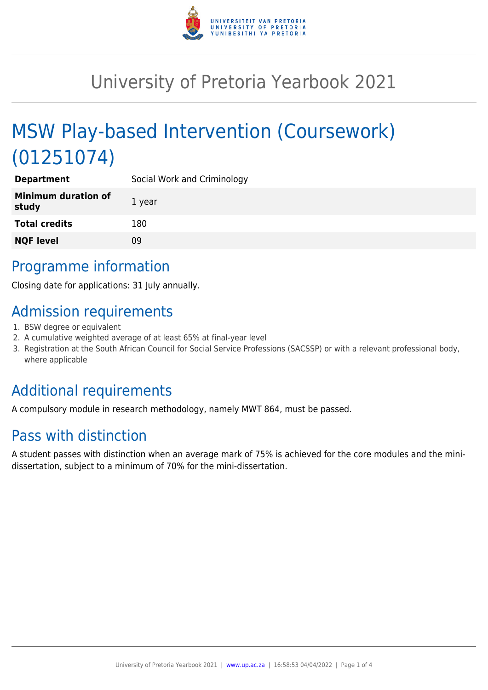

## University of Pretoria Yearbook 2021

# MSW Play-based Intervention (Coursework) (01251074)

| <b>Department</b>                   | Social Work and Criminology |
|-------------------------------------|-----------------------------|
| <b>Minimum duration of</b><br>study | 1 year                      |
| <b>Total credits</b>                | 180                         |
| <b>NQF level</b>                    | 09                          |
|                                     |                             |

### Programme information

Closing date for applications: 31 July annually.

## Admission requirements

- 1. BSW degree or equivalent
- 2. A cumulative weighted average of at least 65% at final-year level
- 3. Registration at the South African Council for Social Service Professions (SACSSP) or with a relevant professional body, where applicable

### Additional requirements

A compulsory module in research methodology, namely MWT 864, must be passed.

### Pass with distinction

A student passes with distinction when an average mark of 75% is achieved for the core modules and the minidissertation, subject to a minimum of 70% for the mini-dissertation.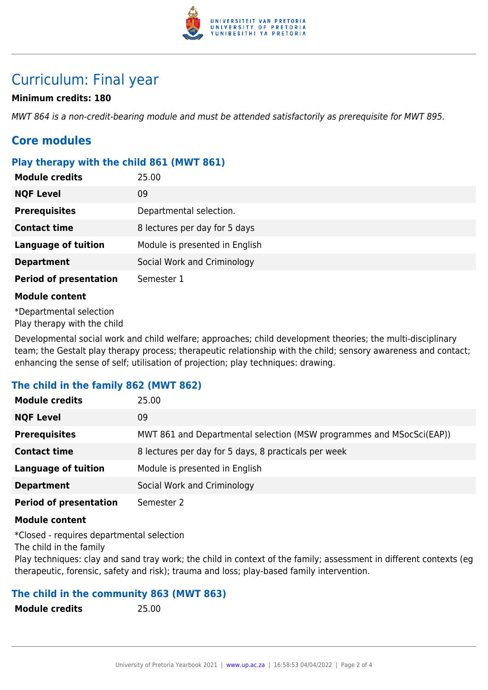

### Curriculum: Final year

#### **Minimum credits: 180**

MWT 864 is a non-credit-bearing module and must be attended satisfactorily as prerequisite for MWT 895.

### **Core modules**

#### **Play therapy with the child 861 (MWT 861)**

| <b>Module credits</b>         | 25.00                          |
|-------------------------------|--------------------------------|
| <b>NQF Level</b>              | 09                             |
| <b>Prerequisites</b>          | Departmental selection.        |
| <b>Contact time</b>           | 8 lectures per day for 5 days  |
| <b>Language of tuition</b>    | Module is presented in English |
| <b>Department</b>             | Social Work and Criminology    |
| <b>Period of presentation</b> | Semester 1                     |
| <b>Module content</b>         |                                |
|                               |                                |

\*Departmental selection

Play therapy with the child

Developmental social work and child welfare; approaches; child development theories; the multi-disciplinary team; the Gestalt play therapy process; therapeutic relationship with the child; sensory awareness and contact; enhancing the sense of self; utilisation of projection; play techniques: drawing.

#### **The child in the family 862 (MWT 862)**

| <b>Module credits</b>         | 25.00                                                                |
|-------------------------------|----------------------------------------------------------------------|
| <b>NQF Level</b>              | 09                                                                   |
| <b>Prerequisites</b>          | MWT 861 and Departmental selection (MSW programmes and MSocSci(EAP)) |
| <b>Contact time</b>           | 8 lectures per day for 5 days, 8 practicals per week                 |
| <b>Language of tuition</b>    | Module is presented in English                                       |
| <b>Department</b>             | Social Work and Criminology                                          |
| <b>Period of presentation</b> | Semester 2                                                           |

#### **Module content**

\*Closed - requires departmental selection

The child in the family

Play techniques: clay and sand tray work; the child in context of the family; assessment in different contexts (eg therapeutic, forensic, safety and risk); trauma and loss; play-based family intervention.

#### **The child in the community 863 (MWT 863)**

**Module credits** 25.00

| <b>Module credits</b> |  |
|-----------------------|--|
|-----------------------|--|

University of Pretoria Yearbook 2021 | [www.up.ac.za](https://www.up.ac.za/yearbooks/home) | 16:58:53 04/04/2022 | Page 2 of 4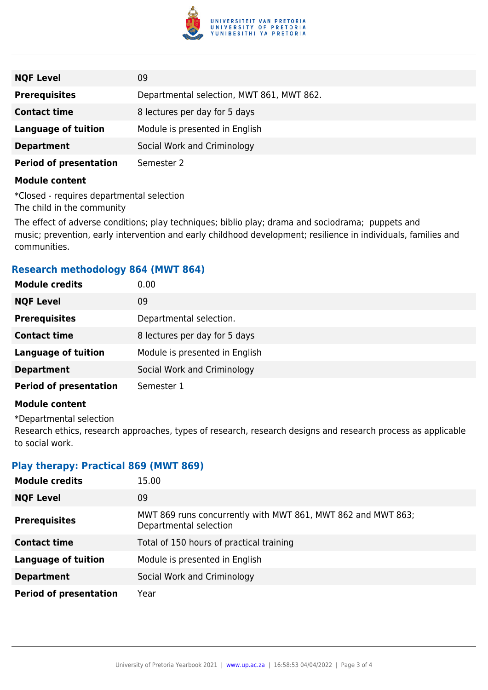

| <b>NQF Level</b>              | 09                                        |
|-------------------------------|-------------------------------------------|
| <b>Prerequisites</b>          | Departmental selection, MWT 861, MWT 862. |
| <b>Contact time</b>           | 8 lectures per day for 5 days             |
| <b>Language of tuition</b>    | Module is presented in English            |
| <b>Department</b>             | Social Work and Criminology               |
| <b>Period of presentation</b> | Semester 2                                |
|                               |                                           |

#### **Module content**

\*Closed - requires departmental selection The child in the community

The effect of adverse conditions; play techniques; biblio play; drama and sociodrama; puppets and music; prevention, early intervention and early childhood development; resilience in individuals, families and communities.

#### **Research methodology 864 (MWT 864)**

| <b>Module credits</b>         | 0.00                           |
|-------------------------------|--------------------------------|
| <b>NQF Level</b>              | 09                             |
| <b>Prerequisites</b>          | Departmental selection.        |
| <b>Contact time</b>           | 8 lectures per day for 5 days  |
| <b>Language of tuition</b>    | Module is presented in English |
| <b>Department</b>             | Social Work and Criminology    |
| <b>Period of presentation</b> | Semester 1                     |

#### **Module content**

\*Departmental selection

Research ethics, research approaches, types of research, research designs and research process as applicable to social work.

#### **Play therapy: Practical 869 (MWT 869)**

| <b>Module credits</b>         | 15.00                                                                                  |
|-------------------------------|----------------------------------------------------------------------------------------|
| <b>NQF Level</b>              | 09                                                                                     |
| <b>Prerequisites</b>          | MWT 869 runs concurrently with MWT 861, MWT 862 and MWT 863;<br>Departmental selection |
| <b>Contact time</b>           | Total of 150 hours of practical training                                               |
| <b>Language of tuition</b>    | Module is presented in English                                                         |
| <b>Department</b>             | Social Work and Criminology                                                            |
| <b>Period of presentation</b> | Year                                                                                   |